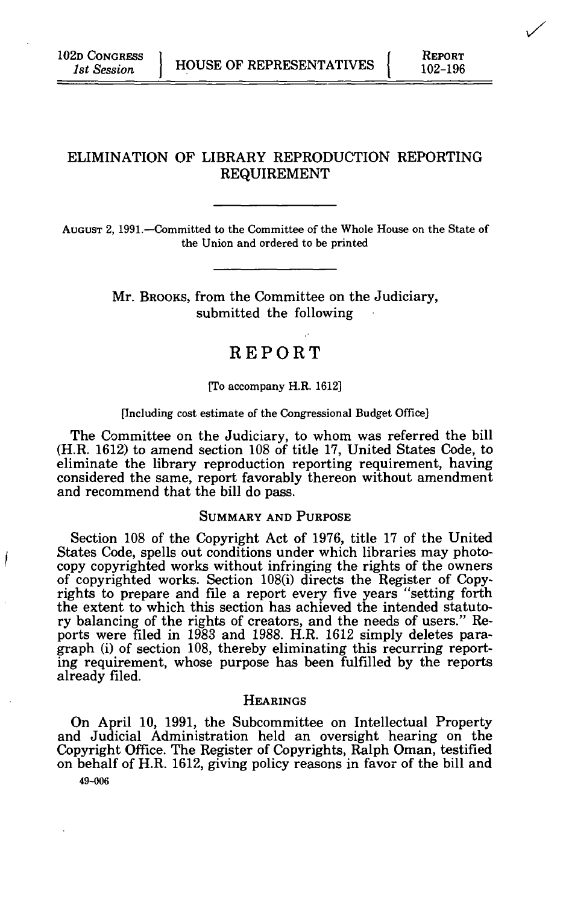# ELIMINATION OF LIBRARY REPRODUCTION REPORTING REQUIREMENT

AUGUST 2, 1991.—Committed to the Committee of the Whole House on the State of the Union and ordered to be printed

> Mr. BROOKS, from the Committee on the Judiciary, submitted the following

# REPORT

#### [To accompany H.R. 1612]

#### [Including cost estimate of the Congressional Budget Office]

The Committee on the Judiciary, to whom was referred the bill (H.R. 1612) to amend section 108 of title 17, United States Code, to eliminate the library reproduction reporting requirement, having considered the same, report favorably thereon without amendment and recommend that the bill do pass.

#### SUMMARY AND PURPOSE

Section 108 of the Copyright Act of 1976, title 17 of the United States Code, spells out conditions under which libraries may photocopy copyrighted works without infringing the rights of the owners of copyrighted works. Section 108(i) directs the Register of Copyrights to prepare and file a report every five years "setting forth the extent to which this section has achieved the intended statutory balancing of the rights of creators, and the needs of users." Reports were filed in 1983 and 1988. H.R. 1612 simply deletes paragraph (i) of section 108, thereby eliminating this recurring reporting requirement, whose purpose has been fulfilled by the reports already filed.

#### **HEARINGS**

On April 10, 1991, the Subcommittee on Intellectual Property and Judicial Administration held an oversight hearing on the Copyright Office. The Register of Copyrights, Ralph Oman, testified on behalf of H.R. 1612, giving policy reasons in favor of the bill and

49-006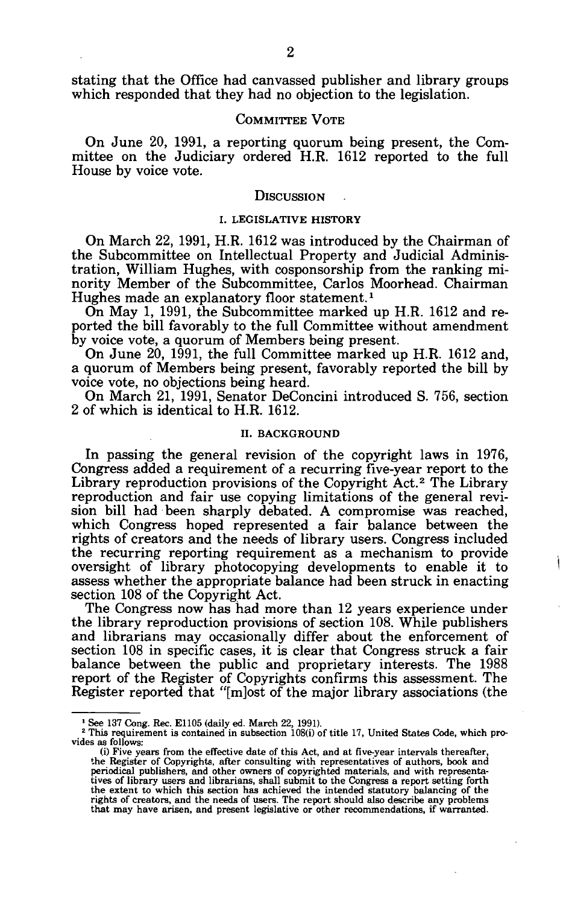stating that the Office had canvassed publisher and library groups which responded that they had no objection to the legislation.

### COMMITTEE VOTE

On June 20, 1991, a reporting quorum being present, the Committee on the Judiciary ordered H.R. 1612 reported to the full House by voice vote.

#### **DISCUSSION**

#### I. LEGISLATIVE HISTORY

On March 22, 1991, H.R. 1612 was introduced by the Chairman of the Subcommittee on Intellectual Property and Judicial Administration, William Hughes, with cosponsorship from the ranking minority Member of the Subcommittee, Carlos Moorhead. Chairman Hughes made an explanatory floor statement.*<sup>1</sup>*

On May 1, 1991, the Subcommittee marked up H.R. 1612 and reported the bill favorably to the full Committee without amendment by voice vote, a quorum of Members being present.

On June 20, 1991, the full Committee marked up H.R. 1612 and, a quorum of Members being present, favorably reported the bill by voice vote, no objections being heard.

On March 21, 1991, Senator DeConcini introduced S. 756, section 2 of which is identical to H.R. 1612.

### II. BACKGROUND

In passing the general revision of the copyright laws in 1976, Congress added a requirement of a recurring five-year report to the Library reproduction provisions of the Copyright Act.<sup>2</sup> The Library reproduction and fair use copying limitations of the general revision bill had been sharply debated. A compromise was reached, which Congress hoped represented a fair balance between the rights of creators and the needs of library users. Congress included the recurring reporting requirement as a mechanism to provide oversight of library photocopying developments to enable it to assess whether the appropriate balance had been struck in enacting section 108 of the Copyright Act.

The Congress now has had more than 12 years experience under the library reproduction provisions of section 108. While publishers and librarians may occasionally differ about the enforcement of section 108 in specific cases, it is clear that Congress struck a fair balance between the public and proprietary interests. The 1988 report of the Register of Copyrights confirms this assessment. The Register reported that "[m]ost of the major library associations (the

<sup>&</sup>lt;sup>1</sup> See 137 Cong. Rec. E1105 (daily ed. March 22, 1991).<br><sup>2</sup> This requirement is contained in subsection 108(i) of

<sup>&</sup>lt;sup>2</sup> This requirement is contained in subsection 108(i) of title 17, United States Code, which provides as follows:

<sup>(</sup>i) Five years from the effective date of this Act, and at five-year intervals thereafter, the Register of Copyrights, after consulting with representatives of authors, book and periodical publishers, and other owners of c tives of library users and librarians, shall submit to the Congress a report setting forth the extent to which this section has achieved the intended statutory balancing of the rights of creators, and the needs of users. The report should also describe any problems that may have arisen, and present legislative or other recommendations, if warranted.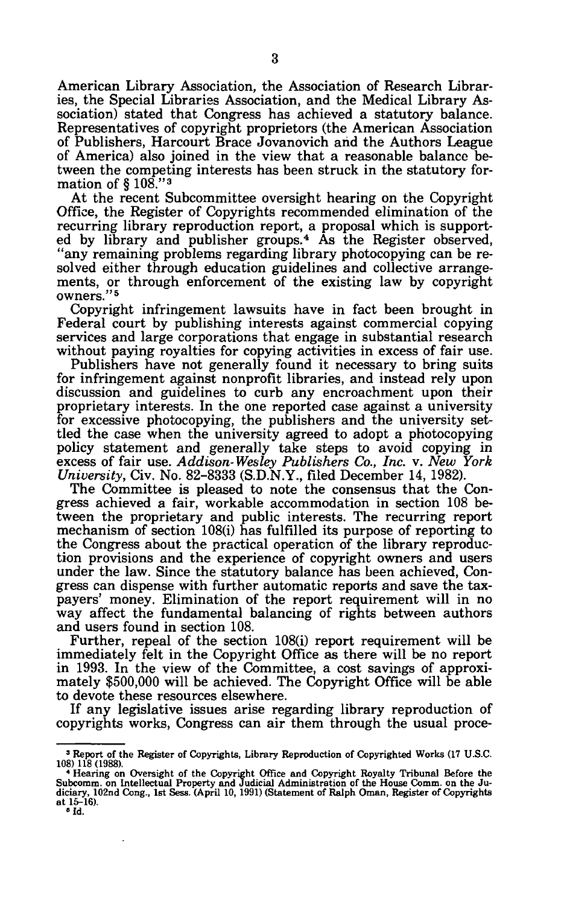American Library Association, the Association of Research Libraries, the Special Libraries Association, and the Medical Library Association) stated that Congress has achieved a statutory balance. Representatives of copyright proprietors (the American Association of Publishers, Harcourt Brace Jovanovich and the Authors League of America) also joined in the view that a reasonable balance between the competing interests has been struck in the statutory formation of § 108."<sup>3</sup>

At the recent Subcommittee oversight hearing on the Copyright Office, the Register of Copyrights recommended elimination of the recurring library reproduction report, a proposal which is supported by library and publisher groups.<sup>4</sup> As the Register observed, "any remaining problems regarding library photocopying can be resolved either through education guidelines and collective arrangements, or through enforcement of the existing law by copyright owners."<sup>5</sup>

Copyright infringement lawsuits have in fact been brought in Federal court by publishing interests against commercial copying services and large corporations that engage in substantial research without paying royalties for copying activities in excess of fair use.

Publishers have not generally found it necessary to bring suits for infringement against nonprofit libraries, and instead rely upon discussion and guidelines to curb any encroachment upon their proprietary interests. In the one reported case against a university for excessive photocopying, the publishers and the university settled the case when the university agreed to adopt a photocopying policy statement and generally take steps to avoid copying in excess of fair use. *Addison- Wesley Publishers Co., Inc.* v. *New York University,* Civ. No. 82-8333 (S.D.N.Y., filed December 14, 1982).

The Committee is pleased to note the consensus that the Congress achieved a fair, workable accommodation in section 108 between the proprietary and public interests. The recurring report mechanism of section 108(i) has fulfilled its purpose of reporting to the Congress about the practical operation of the library reproduction provisions and the experience of copyright owners and users under the law. Since the statutory balance has been achieved, Congress can dispense with further automatic reports and save the taxpayers' money. Elimination of the report requirement will in no way affect the fundamental balancing of rights between authors and users found in section 108.

Further, repeal of the section 108(i) report requirement will be immediately felt in the Copyright Office as there will be no report in 1993. In the view of the Committee, a cost savings of approximately \$500,000 will be achieved. The Copyright Office will be able to devote these resources elsewhere.

If any legislative issues arise regarding library reproduction of copyrights works, Congress can air them through the usual proce-

 $\ddot{\phantom{0}}$ 

<sup>&</sup>lt;sup>3</sup> Report of the Register of Copyrights, Library Reproduction of Copyrighted Works (17 U.S.C. 108) 118 (1988).

<sup>&</sup>quot;Hearing on Oversight of the Copyright Office and Copyright Royalty Tribunal Before the Subcomm. on Intellectual Property and Judicial Administration of the House Comm. on the Judicial and Judicial Administration of the Ho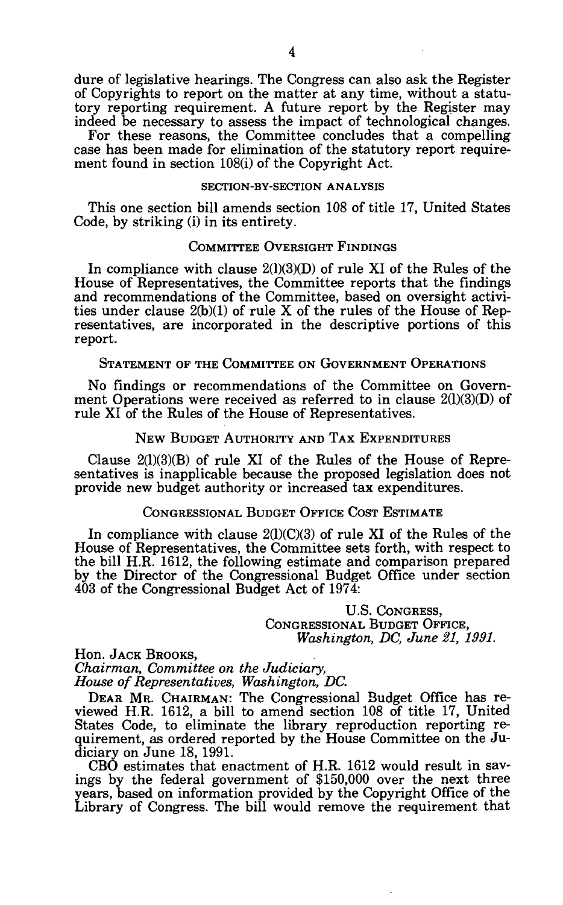dure of legislative hearings. The Congress can also ask the Register of Copyrights to report on the matter at any time, without a statutory reporting requirement. A future report by the Register may indeed be necessary to assess the impact of technological changes.

For these reasons, the Committee concludes that a compelling case has been made for elimination of the statutory report requirement found in section 108(i) of the Copyright Act.

### **SECTION-BY-SECTION ANALYSIS**

This one section bill amends section 108 of title 17, United States Code, by striking (i) in its entirety.

### COMMITTEE OVERSIGHT FINDINGS

In compliance with clause  $2(1)(3)(D)$  of rule XI of the Rules of the House of Representatives, the Committee reports that the findings and recommendations of the Committee, based on oversight activities under clause  $2(b)(1)$  of rule X of the rules of the House of Representatives, are incorporated in the descriptive portions of this report.

STATEMENT OF THE COMMITTEE ON GOVERNMENT OPERATIONS

No findings or recommendations of the Committee on Government Operations were received as referred to in clause 2(1)(3)(D) of rule XI of the Rules of the House of Representatives.

## NEW BUDGET AUTHORITY AND TAX EXPENDITURES

Clause 2(1)(3)(B) of rule XI of the Rules of the House of Representatives is inapplicable because the proposed legislation does not provide new budget authority or increased tax expenditures.

### CONGRESSIONAL BUDGET OFFICE COST ESTIMATE

In compliance with clause  $2(1)(C)(3)$  of rule XI of the Rules of the House of Representatives, the Committee sets forth, with respect to the bill H.R. 1612, the following estimate and comparison prepared by the Director of the Congressional Budget Office under section 403 of the Congressional Budget Act of 1974:

> U.S. CONGRESS, CONGRESSIONAL BUDGET OFFICE, *Washington, DC, June 21, 1991.*

Hon. JACK BROOKS, *Chairman, Committee on the Judiciary, House of Representatives, Washington, DC.* 

DEAR MR. CHAIRMAN: The Congressional Budget Office has reviewed H.R. 1612, a bill to amend section 108 of title 17, United States Code, to eliminate the library reproduction reporting requirement, as ordered reported by the House Committee on the Judiciary on June 18, 1991.

CBO estimates that enactment of H.R. 1612 would result in savings by the federal government of \$150,000 over the next three years, based on information provided by the Copyright Office of the Library of Congress. The bill would remove the requirement that